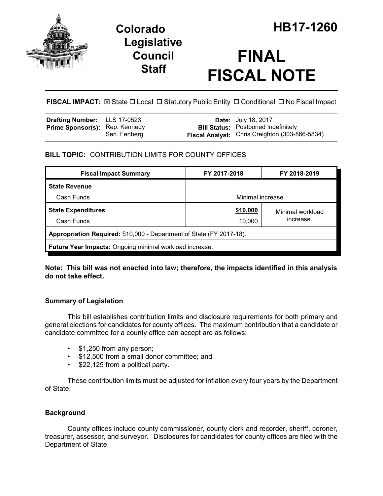

## **Legislative Council Staff**

# **FINAL FISCAL NOTE**

**FISCAL IMPACT:** ⊠ State □ Local □ Statutory Public Entity □ Conditional □ No Fiscal Impact

| <b>Drafting Number:</b> LLS 17-0523   |              | <b>Date:</b> July 18, 2017                                                                   |
|---------------------------------------|--------------|----------------------------------------------------------------------------------------------|
| <b>Prime Sponsor(s):</b> Rep. Kennedy | Sen. Fenberg | <b>Bill Status: Postponed Indefinitely</b><br>Fiscal Analyst: Chris Creighton (303-866-5834) |

## **BILL TOPIC:** CONTRIBUTION LIMITS FOR COUNTY OFFICES

| <b>Fiscal Impact Summary</b>                                         | FY 2017-2018      | FY 2018-2019     |  |  |  |
|----------------------------------------------------------------------|-------------------|------------------|--|--|--|
| <b>State Revenue</b>                                                 |                   |                  |  |  |  |
| Cash Funds                                                           | Minimal increase. |                  |  |  |  |
| <b>State Expenditures</b>                                            | \$10,000          | Minimal workload |  |  |  |
| Cash Funds                                                           | 10,000            | increase.        |  |  |  |
| Appropriation Required: \$10,000 - Department of State (FY 2017-18). |                   |                  |  |  |  |
| Future Year Impacts: Ongoing minimal workload increase.              |                   |                  |  |  |  |

**Note: This bill was not enacted into law; therefore, the impacts identified in this analysis do not take effect.**

## **Summary of Legislation**

This bill establishes contribution limits and disclosure requirements for both primary and general elections for candidates for county offices. The maximum contribution that a candidate or candidate committee for a county office can accept are as follows:

- \$1,250 from any person;
- \$12,500 from a small donor committee; and
- \$22,125 from a political party.

These contribution limits must be adjusted for inflation every four years by the Department of State.

## **Background**

County offices include county commissioner, county clerk and recorder, sheriff, coroner, treasurer, assessor, and surveyor. Disclosures for candidates for county offices are filed with the Department of State.